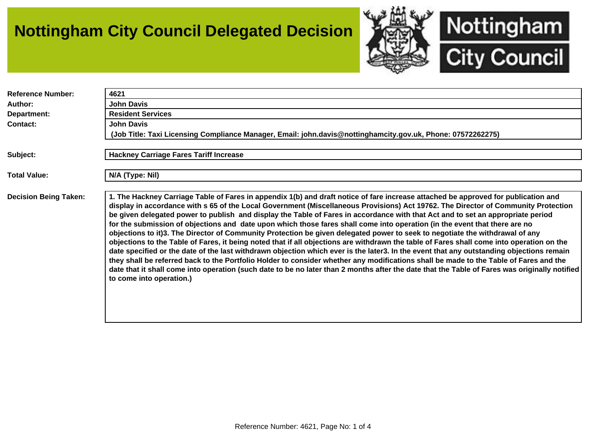## **Nottingham City Council Delegated Decision**



| <b>Reference Number:</b>     | 4621                                                                                                                                                                                                                                                                                                                                                                                                                                                                                                                                                                                                                                                                                                                                                                                                                                                                                                                                                                                                                                                                                                                                                                                                                                                                                     |
|------------------------------|------------------------------------------------------------------------------------------------------------------------------------------------------------------------------------------------------------------------------------------------------------------------------------------------------------------------------------------------------------------------------------------------------------------------------------------------------------------------------------------------------------------------------------------------------------------------------------------------------------------------------------------------------------------------------------------------------------------------------------------------------------------------------------------------------------------------------------------------------------------------------------------------------------------------------------------------------------------------------------------------------------------------------------------------------------------------------------------------------------------------------------------------------------------------------------------------------------------------------------------------------------------------------------------|
| Author:                      | <b>John Davis</b>                                                                                                                                                                                                                                                                                                                                                                                                                                                                                                                                                                                                                                                                                                                                                                                                                                                                                                                                                                                                                                                                                                                                                                                                                                                                        |
| Department:                  | <b>Resident Services</b>                                                                                                                                                                                                                                                                                                                                                                                                                                                                                                                                                                                                                                                                                                                                                                                                                                                                                                                                                                                                                                                                                                                                                                                                                                                                 |
| <b>Contact:</b>              | <b>John Davis</b>                                                                                                                                                                                                                                                                                                                                                                                                                                                                                                                                                                                                                                                                                                                                                                                                                                                                                                                                                                                                                                                                                                                                                                                                                                                                        |
|                              | (Job Title: Taxi Licensing Compliance Manager, Email: john.davis@nottinghamcity.gov.uk, Phone: 07572262275)                                                                                                                                                                                                                                                                                                                                                                                                                                                                                                                                                                                                                                                                                                                                                                                                                                                                                                                                                                                                                                                                                                                                                                              |
|                              |                                                                                                                                                                                                                                                                                                                                                                                                                                                                                                                                                                                                                                                                                                                                                                                                                                                                                                                                                                                                                                                                                                                                                                                                                                                                                          |
| Subject:                     | <b>Hackney Carriage Fares Tariff Increase</b>                                                                                                                                                                                                                                                                                                                                                                                                                                                                                                                                                                                                                                                                                                                                                                                                                                                                                                                                                                                                                                                                                                                                                                                                                                            |
|                              |                                                                                                                                                                                                                                                                                                                                                                                                                                                                                                                                                                                                                                                                                                                                                                                                                                                                                                                                                                                                                                                                                                                                                                                                                                                                                          |
| <b>Total Value:</b>          | N/A (Type: Nil)                                                                                                                                                                                                                                                                                                                                                                                                                                                                                                                                                                                                                                                                                                                                                                                                                                                                                                                                                                                                                                                                                                                                                                                                                                                                          |
|                              |                                                                                                                                                                                                                                                                                                                                                                                                                                                                                                                                                                                                                                                                                                                                                                                                                                                                                                                                                                                                                                                                                                                                                                                                                                                                                          |
| <b>Decision Being Taken:</b> | 1. The Hackney Carriage Table of Fares in appendix 1(b) and draft notice of fare increase attached be approved for publication and<br>display in accordance with s 65 of the Local Government (Miscellaneous Provisions) Act 19762. The Director of Community Protection<br>be given delegated power to publish and display the Table of Fares in accordance with that Act and to set an appropriate period<br>for the submission of objections and date upon which those fares shall come into operation (in the event that there are no<br>objections to it)3. The Director of Community Protection be given delegated power to seek to negotiate the withdrawal of any<br>objections to the Table of Fares, it being noted that if all objections are withdrawn the table of Fares shall come into operation on the<br>date specified or the date of the last withdrawn objection which ever is the later3. In the event that any outstanding objections remain<br>they shall be referred back to the Portfolio Holder to consider whether any modifications shall be made to the Table of Fares and the<br>date that it shall come into operation (such date to be no later than 2 months after the date that the Table of Fares was originally notified<br>to come into operation.) |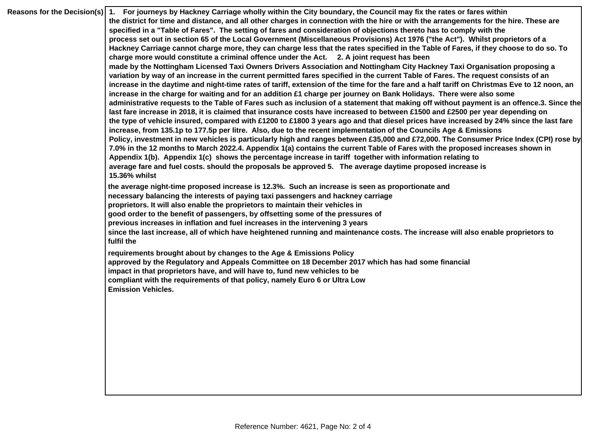| Reasons for the Decision(s) 1. For journeys by Hackney Carriage wholly within the City boundary, the Council may fix the rates or fares within                                                                                                                              |
|-----------------------------------------------------------------------------------------------------------------------------------------------------------------------------------------------------------------------------------------------------------------------------|
| the district for time and distance, and all other charges in connection with the hire or with the arrangements for the hire. These are                                                                                                                                      |
| specified in a "Table of Fares". The setting of fares and consideration of objections thereto has to comply with the                                                                                                                                                        |
| process set out in section 65 of the Local Government (Miscellaneous Provisions) Act 1976 ("the Act"). Whilst proprietors of a                                                                                                                                              |
| Hackney Carriage cannot charge more, they can charge less that the rates specified in the Table of Fares, if they choose to do so. To                                                                                                                                       |
| charge more would constitute a criminal offence under the Act. 2. A joint request has been                                                                                                                                                                                  |
| made by the Nottingham Licensed Taxi Owners Drivers Association and Nottingham City Hackney Taxi Organisation proposing a                                                                                                                                                   |
| variation by way of an increase in the current permitted fares specified in the current Table of Fares. The request consists of an                                                                                                                                          |
| increase in the daytime and night-time rates of tariff, extension of the time for the fare and a half tariff on Christmas Eve to 12 noon, an                                                                                                                                |
| increase in the charge for waiting and for an addition £1 charge per journey on Bank Holidays. There were also some                                                                                                                                                         |
| administrative requests to the Table of Fares such as inclusion of a statement that making off without payment is an offence.3. Since the<br>last fare increase in 2018, it is claimed that insurance costs have increased to between £1500 and £2500 per year depending on |
| the type of vehicle insured, compared with £1200 to £1800 3 years ago and that diesel prices have increased by 24% since the last fare<br>increase, from 135.1p to 177.5p per litre. Also, due to the recent implementation of the Councils Age & Emissions                 |
| Policy, investment in new vehicles is particularly high and ranges between £35,000 and £72,000. The Consumer Price Index (CPI) rose by                                                                                                                                      |
| 7.0% in the 12 months to March 2022.4. Appendix 1(a) contains the current Table of Fares with the proposed increases shown in                                                                                                                                               |
| Appendix 1(b). Appendix 1(c) shows the percentage increase in tariff together with information relating to                                                                                                                                                                  |
| average fare and fuel costs. should the proposals be approved 5. The average daytime proposed increase is                                                                                                                                                                   |
| 15.36% whilst                                                                                                                                                                                                                                                               |
| the average night-time proposed increase is 12.3%. Such an increase is seen as proportionate and                                                                                                                                                                            |
| necessary balancing the interests of paying taxi passengers and hackney carriage                                                                                                                                                                                            |
| proprietors. It will also enable the proprietors to maintain their vehicles in                                                                                                                                                                                              |
| good order to the benefit of passengers, by offsetting some of the pressures of                                                                                                                                                                                             |
| previous increases in inflation and fuel increases in the intervening 3 years                                                                                                                                                                                               |
| since the last increase, all of which have heightened running and maintenance costs. The increase will also enable proprietors to                                                                                                                                           |
| fulfil the                                                                                                                                                                                                                                                                  |
| requirements brought about by changes to the Age & Emissions Policy                                                                                                                                                                                                         |
| approved by the Regulatory and Appeals Committee on 18 December 2017 which has had some financial                                                                                                                                                                           |
| impact in that proprietors have, and will have to, fund new vehicles to be                                                                                                                                                                                                  |
| compliant with the requirements of that policy, namely Euro 6 or Ultra Low                                                                                                                                                                                                  |
| <b>Emission Vehicles.</b>                                                                                                                                                                                                                                                   |
|                                                                                                                                                                                                                                                                             |
|                                                                                                                                                                                                                                                                             |
|                                                                                                                                                                                                                                                                             |
|                                                                                                                                                                                                                                                                             |
|                                                                                                                                                                                                                                                                             |
|                                                                                                                                                                                                                                                                             |
|                                                                                                                                                                                                                                                                             |
|                                                                                                                                                                                                                                                                             |
|                                                                                                                                                                                                                                                                             |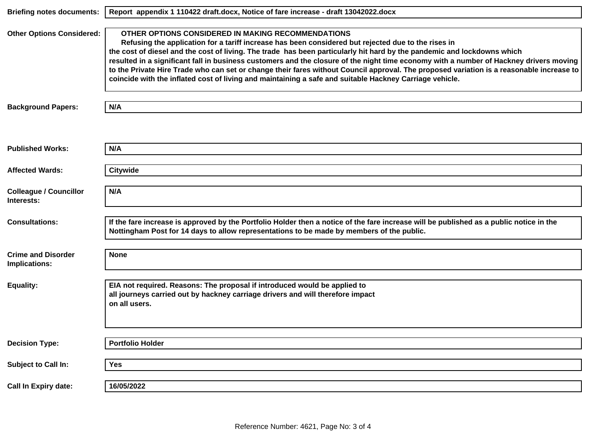| <b>Briefing notes documents:</b>            | Report appendix 1 110422 draft.docx, Notice of fare increase - draft 13042022.docx                                                                                                                                                                                                                                                                                                                                                                                                                                                                                                                                                                                                    |
|---------------------------------------------|---------------------------------------------------------------------------------------------------------------------------------------------------------------------------------------------------------------------------------------------------------------------------------------------------------------------------------------------------------------------------------------------------------------------------------------------------------------------------------------------------------------------------------------------------------------------------------------------------------------------------------------------------------------------------------------|
| <b>Other Options Considered:</b>            | OTHER OPTIONS CONSIDERED IN MAKING RECOMMENDATIONS<br>Refusing the application for a tariff increase has been considered but rejected due to the rises in<br>the cost of diesel and the cost of living. The trade has been particularly hit hard by the pandemic and lockdowns which<br>resulted in a significant fall in business customers and the closure of the night time economy with a number of Hackney drivers moving<br>to the Private Hire Trade who can set or change their fares without Council approval. The proposed variation is a reasonable increase to<br>coincide with the inflated cost of living and maintaining a safe and suitable Hackney Carriage vehicle. |
| <b>Background Papers:</b>                   | N/A                                                                                                                                                                                                                                                                                                                                                                                                                                                                                                                                                                                                                                                                                   |
|                                             |                                                                                                                                                                                                                                                                                                                                                                                                                                                                                                                                                                                                                                                                                       |
| <b>Published Works:</b>                     | N/A                                                                                                                                                                                                                                                                                                                                                                                                                                                                                                                                                                                                                                                                                   |
| <b>Affected Wards:</b>                      | <b>Citywide</b>                                                                                                                                                                                                                                                                                                                                                                                                                                                                                                                                                                                                                                                                       |
| <b>Colleague / Councillor</b><br>Interests: | N/A                                                                                                                                                                                                                                                                                                                                                                                                                                                                                                                                                                                                                                                                                   |
| <b>Consultations:</b>                       | If the fare increase is approved by the Portfolio Holder then a notice of the fare increase will be published as a public notice in the<br>Nottingham Post for 14 days to allow representations to be made by members of the public.                                                                                                                                                                                                                                                                                                                                                                                                                                                  |
| <b>Crime and Disorder</b><br>Implications:  | <b>None</b>                                                                                                                                                                                                                                                                                                                                                                                                                                                                                                                                                                                                                                                                           |
| <b>Equality:</b>                            | EIA not required. Reasons: The proposal if introduced would be applied to<br>all journeys carried out by hackney carriage drivers and will therefore impact<br>on all users.                                                                                                                                                                                                                                                                                                                                                                                                                                                                                                          |
| <b>Decision Type:</b>                       | <b>Portfolio Holder</b>                                                                                                                                                                                                                                                                                                                                                                                                                                                                                                                                                                                                                                                               |
|                                             |                                                                                                                                                                                                                                                                                                                                                                                                                                                                                                                                                                                                                                                                                       |
| Subject to Call In:                         | Yes                                                                                                                                                                                                                                                                                                                                                                                                                                                                                                                                                                                                                                                                                   |
| <b>Call In Expiry date:</b>                 | 16/05/2022                                                                                                                                                                                                                                                                                                                                                                                                                                                                                                                                                                                                                                                                            |